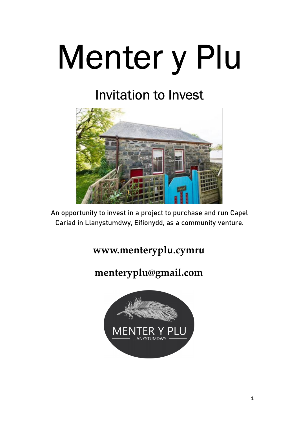# Menter y Plu

### Invitation to Invest



An opportunity to invest in a project to purchase and run Capel Cariad in Llanystumdwy, Eifionydd, as a community venture.

#### www.menteryplu.cymru

#### menteryplu@gmail.com

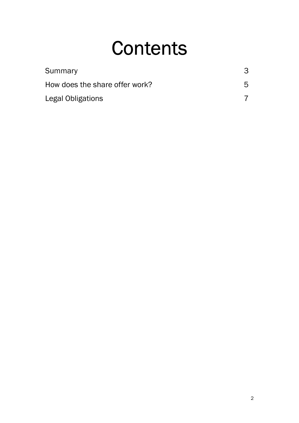### **Contents**

| Summary                        |    |
|--------------------------------|----|
| How does the share offer work? | h. |
| Legal Obligations              |    |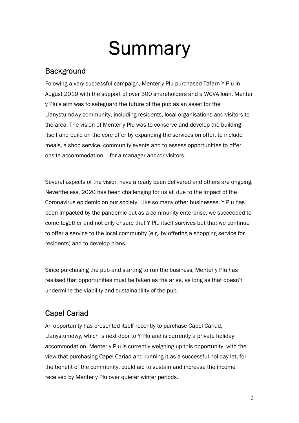### **Summary**

#### **Background**

Folowing a very successful campaign, Menter y Plu purchased Tafarn Y Plu in August 2019 with the support of over 300 shareholders and a WCVA loan. Menter y Plu's aim was to safeguard the future of the pub as an asset for the Llanystumdwy community, including residents, local organisations and visitors to the area. The vision of Menter y Plu was to conserve and develop the building itself and build on the core offer by expanding the services on offer, to include meals, a shop service, community events and to assess opportunities to offer onsite accommodation – for a manager and/or visitors.

Several aspects of the vision have already been delivered and others are ongoing. Nevertheless, 2020 has been challenging for us all due to the impact of the Coronavirus epidemic on our society. Like so many other businesses, Y Plu has been impacted by the pandemic but as a community enterprise, we succeeded to come together and not only ensure that Y Plu itself survives but that we continue to offer a service to the local community (e.g. by offering a shopping service for residents) and to develop plans.

Since purchasing the pub and starting to run the business, Menter y Plu has realised that opportunities must be taken as the arise, as long as that doesn't undermine the viability and sustainability of the pub.

#### Capel Cariad

An opportunity has presented itself recently to purchase Capel Cariad, Llanystumdwy, which is next door to Y Plu and is currently a private holiday accommodation. Menter y Plu is currently weighing up this opportunity, with the view that purchasing Capel Cariad and running it as a successful holiday let, for the benefit of the community, could aid to sustain and increase the income received by Menter y Plu over quieter winter periods.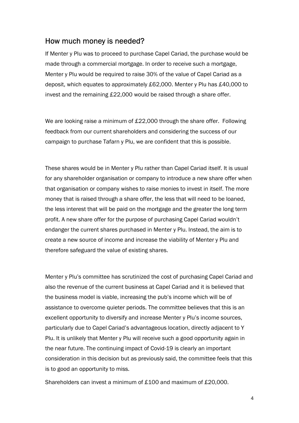#### How much money is needed?

If Menter y Plu was to proceed to purchase Capel Cariad, the purchase would be made through a commercial mortgage. In order to receive such a mortgage, Menter y Plu would be required to raise 30% of the value of Capel Cariad as a deposit, which equates to approximately £62,000. Menter y Plu has £40,000 to invest and the remaining £22,000 would be raised through a share offer.

We are looking raise a minimum of £22,000 through the share offer. Following feedback from our current shareholders and considering the success of our campaign to purchase Tafarn y Plu, we are confident that this is possible.

These shares would be in Menter y Plu rather than Capel Cariad itself. It is usual for any shareholder organisation or company to introduce a new share offer when that organisation or company wishes to raise monies to invest in itself. The more money that is raised through a share offer, the less that will need to be loaned, the less interest that will be paid on the mortgage and the greater the long term profit. A new share offer for the purpose of purchasing Capel Cariad wouldn't endanger the current shares purchased in Menter y Plu. Instead, the aim is to create a new source of income and increase the viability of Menter y Plu and therefore safeguard the value of existing shares.

Menter y Plu's committee has scrutinized the cost of purchasing Capel Cariad and also the revenue of the current business at Capel Cariad and it is believed that the business model is viable, increasing the pub's income which will be of assistance to overcome quieter periods. The committee believes that this is an excellent opportunity to diversify and increase Menter y Plu's income sources, particularly due to Capel Cariad's advantageous location, directly adjacent to Y Plu. It is unlikely that Menter y Plu will receive such a good opportunity again in the near future. The continuing impact of Covid-19 is clearly an important consideration in this decision but as previously said, the committee feels that this is to good an opportunity to miss.

Shareholders can invest a minimum of £100 and maximum of £20,000.

4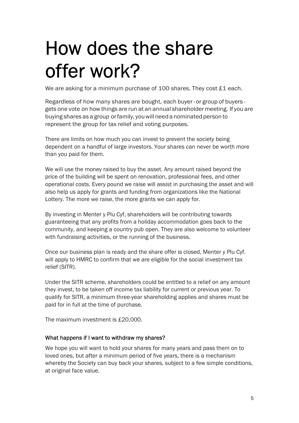### How does the share offer work?

We are asking for a minimum purchase of 100 shares. They cost £1 each.

Regardless of how many shares are bought, each buyer - or group of buyers gets one vote on how things are run at an annual shareholder meeting. If you are buying shares as a group or family, you will need a nominated person to represent the group for tax relief and voting purposes.

There are limits on how much you can invest to prevent the society being dependent on a handful of large investors. Your shares can never be worth more than you paid for them.

We will use the money raised to buy the asset. Any amount raised beyond the price of the building will be spent on renovation, professional fees, and other operational costs. Every pound we raise will assist in purchasing the asset and will also help us apply for grants and funding from organizations like the National Lottery. The more we raise, the more grants we can apply for.

By investing in Menter y Plu Cyf, shareholders will be contributing towards guaranteeing that any profits from a holiday accommodation goes back to the community, and keeping a country pub open. They are also welcome to volunteer with fundraising activities, or the running of the business.

Once our business plan is ready and the share offer is closed, Menter y Plu Cyf. will apply to HMRC to confirm that we are eligible for the social investment tax relief (SITR).

Under the SITR scheme, shareholders could be entitled to a relief on any amount they invest, to be taken off income tax liability for current or previous year. To qualify for SITR, a minimum three-year shareholding applies and shares must be paid for in full at the time of purchase.

The maximum investment is £20,000.

#### What happens if I want to withdraw my shares?

We hope you will want to hold your shares for many years and pass them on to loved ones, but after a minimum period of five years, there is a mechanism whereby the Society can buy back your shares, subject to a few simple conditions, at original face value.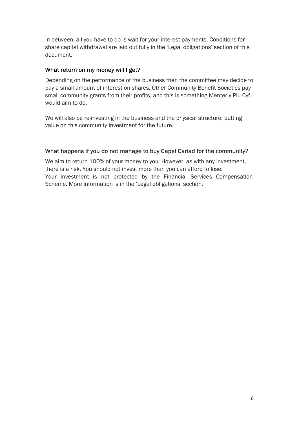In between, all you have to do is wait for your interest payments. Conditions for share capital withdrawal are laid out fully in the 'Legal obligations' section of this document.

#### What return on my money will I get?

Depending on the performance of the business then the committee may decide to pay a small amount of interest on shares. Other Community Benefit Societies pay small community grants from their profits, and this is something Menter y Plu Cyf. would aim to do.

We will also be re-investing in the business and the physical structure, putting value on this community investment for the future.

#### What happens if you do not manage to buy Capel Cariad for the community?

We aim to return 100% of your money to you. However, as with any investment, there is a risk. You should not invest more than you can afford to lose. Your investment is not protected by the Financial Services Compensation Scheme. More information is in the 'Legal obligations' section.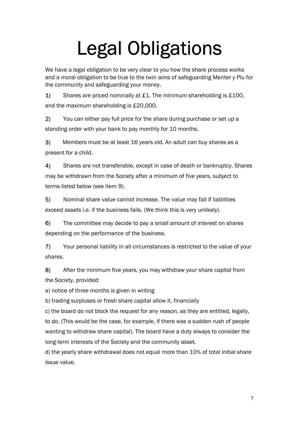## Legal Obligations

We have a legal obligation to be very clear to you how the share process works and a moral obligation to be true to the twin aims of safeguarding Menter y Plu for the community and safeguarding your money.

1) Shares are priced nominally at £1. The minimum shareholding is £100, and the maximum shareholding is £20,000.

2) You can either pay full price for the share during purchase or set up a standing order with your bank to pay monthly for 10 months.

3) Members must be at least 16 years old. An adult can buy shares as a present for a child.

4) Shares are not transferable, except in case of death or bankruptcy. Shares may be withdrawn from the Society after a minimum of five years, subject to terms listed below (see item 9).

5) Nominal share value cannot increase. The value may fall if liabilities exceed assets i.e. if the business fails. (We think this is very unlikely).

6) The committee may decide to pay a small amount of interest on shares depending on the performance of the business.

7) Your personal liability in all circumstances is restricted to the value of your shares.

8) After the minimum five years, you may withdraw your share capital from the Society, provided:

a) notice of three months is given in writing

b) trading surpluses or fresh share capital allow it, financially

c) the board do not block the request for any reason, as they are entitled, legally, to do. (This would be the case, for example, if there was a sudden rush of people wanting to withdraw share capital). The board have a duty always to consider the long-term interests of the Society and the community asset.

d) the yearly share withdrawal does not equal more than 10% of total initial share issue value.